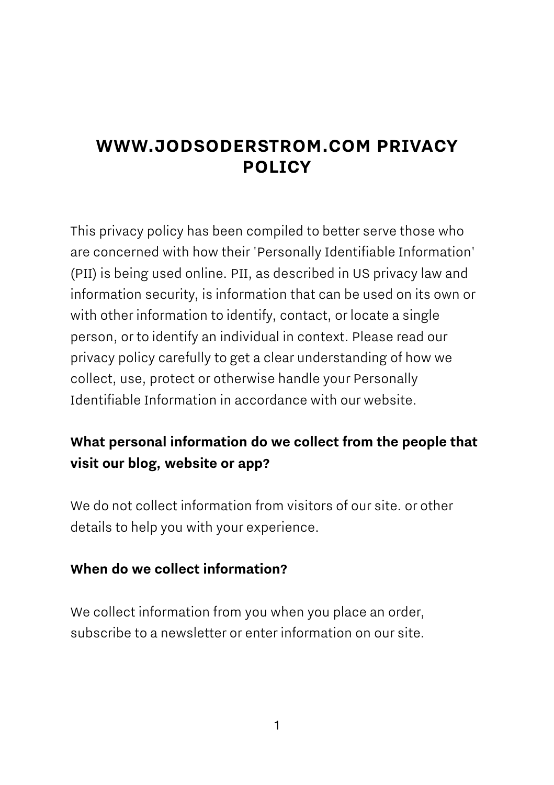# **WWW.JODSODERSTROM.COM PRIVACY POLICY**

This privacy policy has been compiled to better serve those who are concerned with how their 'Personally Identifiable Information' (PII) is being used online. PII, as described in US privacy law and information security, is information that can be used on its own or with other information to identify, contact, or locate a single person, or to identify an individual in context. Please read our privacy policy carefully to get a clear understanding of how we collect, use, protect or otherwise handle your Personally Identifiable Information in accordance with our website.

## **What personal information do we collect from the people that visit our blog, website or app?**

We do not collect information from visitors of our site. or other details to help you with your experience.

#### **When do we collect information?**

We collect information from you when you place an order, subscribe to a newsletter or enter information on our site.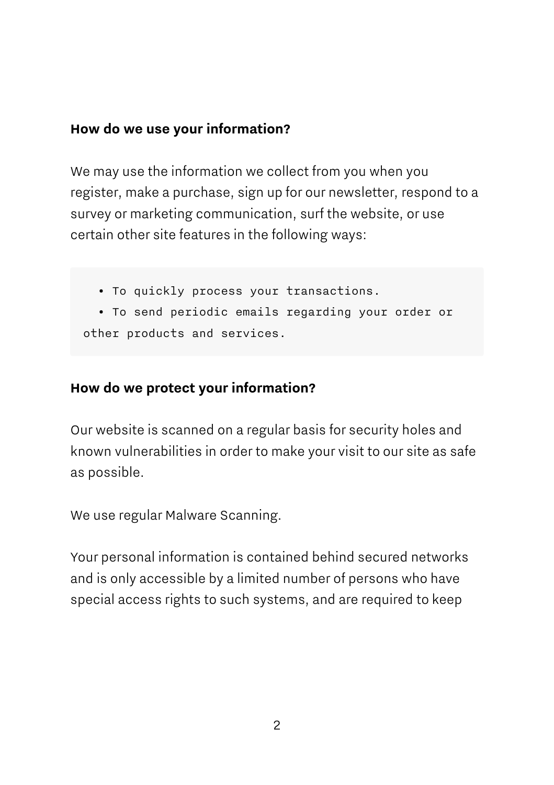#### **How do we use your information?**

We may use the information we collect from you when you register, make a purchase, sign up for our newsletter, respond to a survey or marketing communication, surf the website, or use certain other site features in the following ways:

- To quickly process your transactions.
- To send periodic emails regarding your order or other products and services.

## **How do we protect your information?**

Our website is scanned on a regular basis for security holes and known vulnerabilities in order to make your visit to our site as safe as possible.

We use regular Malware Scanning.

Your personal information is contained behind secured networks and is only accessible by a limited number of persons who have special access rights to such systems, and are required to keep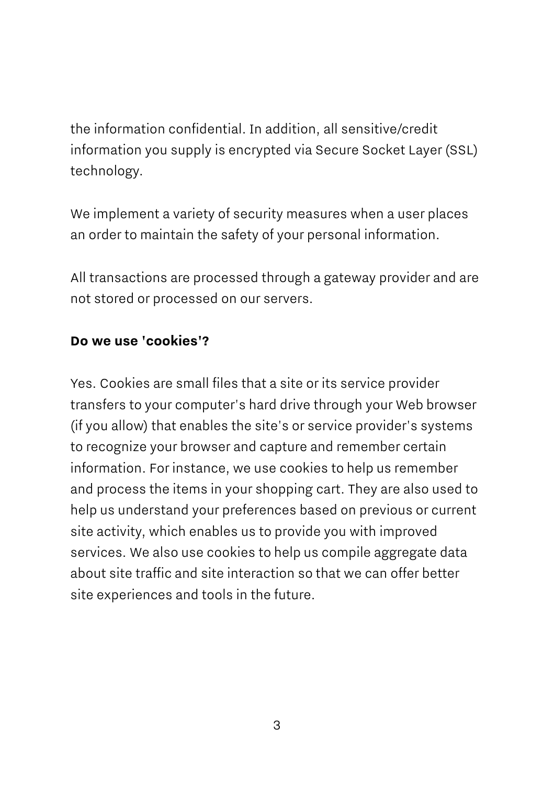the information confidential. In addition, all sensitive/credit information you supply is encrypted via Secure Socket Layer (SSL) technology.

We implement a variety of security measures when a user places an order to maintain the safety of your personal information.

All transactions are processed through a gateway provider and are not stored or processed on our servers.

#### **Do we use 'cookies'?**

Yes. Cookies are small files that a site or its service provider transfers to your computer's hard drive through your Web browser (if you allow) that enables the site's or service provider's systems to recognize your browser and capture and remember certain information. For instance, we use cookies to help us remember and process the items in your shopping cart. They are also used to help us understand your preferences based on previous or current site activity, which enables us to provide you with improved services. We also use cookies to help us compile aggregate data about site traffic and site interaction so that we can offer better site experiences and tools in the future.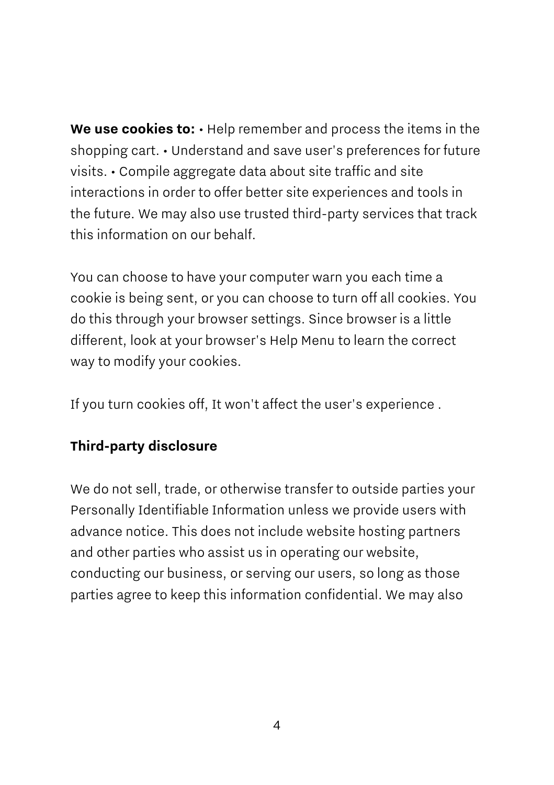**We use cookies to:** • Help remember and process the items in the shopping cart. • Understand and save user's preferences for future visits. • Compile aggregate data about site traffic and site interactions in order to offer better site experiences and tools in the future. We may also use trusted third-party services that track this information on our behalf.

You can choose to have your computer warn you each time a cookie is being sent, or you can choose to turn off all cookies. You do this through your browser settings. Since browser is a little different, look at your browser's Help Menu to learn the correct way to modify your cookies.

If you turn cookies off, It won't affect the user's experience .

#### **Third-party disclosure**

We do not sell, trade, or otherwise transfer to outside parties your Personally Identifiable Information unless we provide users with advance notice. This does not include website hosting partners and other parties who assist us in operating our website, conducting our business, or serving our users, so long as those parties agree to keep this information confidential. We may also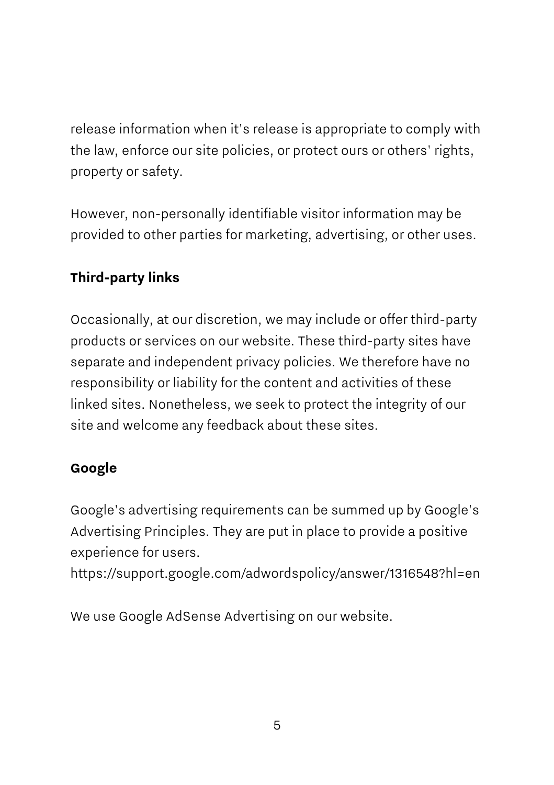release information when it's release is appropriate to comply with the law, enforce our site policies, or protect ours or others' rights, property or safety.

However, non-personally identifiable visitor information may be provided to other parties for marketing, advertising, or other uses.

## **Third-party links**

Occasionally, at our discretion, we may include or offer third-party products or services on our website. These third-party sites have separate and independent privacy policies. We therefore have no responsibility or liability for the content and activities of these linked sites. Nonetheless, we seek to protect the integrity of our site and welcome any feedback about these sites.

#### **Google**

Google's advertising requirements can be summed up by Google's Advertising Principles. They are put in place to provide a positive experience for users.

https://support.google.com/adwordspolicy/answer/1316548?hl=en

We use Google AdSense Advertising on our website.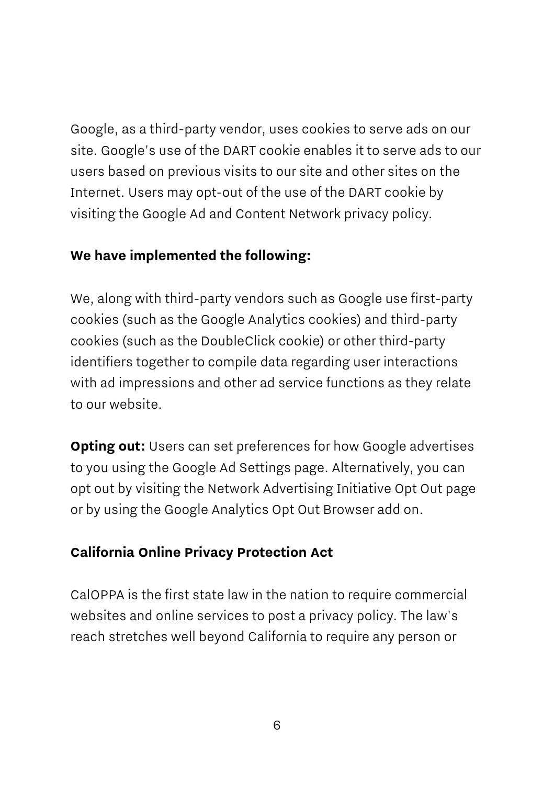Google, as a third-party vendor, uses cookies to serve ads on our site. Google's use of the DART cookie enables it to serve ads to our users based on previous visits to our site and other sites on the Internet. Users may opt-out of the use of the DART cookie by visiting the Google Ad and Content Network privacy policy.

### **We have implemented the following:**

We, along with third-party vendors such as Google use first-party cookies (such as the Google Analytics cookies) and third-party cookies (such as the DoubleClick cookie) or other third-party identifiers together to compile data regarding user interactions with ad impressions and other ad service functions as they relate to our website.

**Opting out:** Users can set preferences for how Google advertises to you using the Google Ad Settings page. Alternatively, you can opt out by visiting the Network Advertising Initiative Opt Out page or by using the Google Analytics Opt Out Browser add on.

## **California Online Privacy Protection Act**

CalOPPA is the first state law in the nation to require commercial websites and online services to post a privacy policy. The law's reach stretches well beyond California to require any person or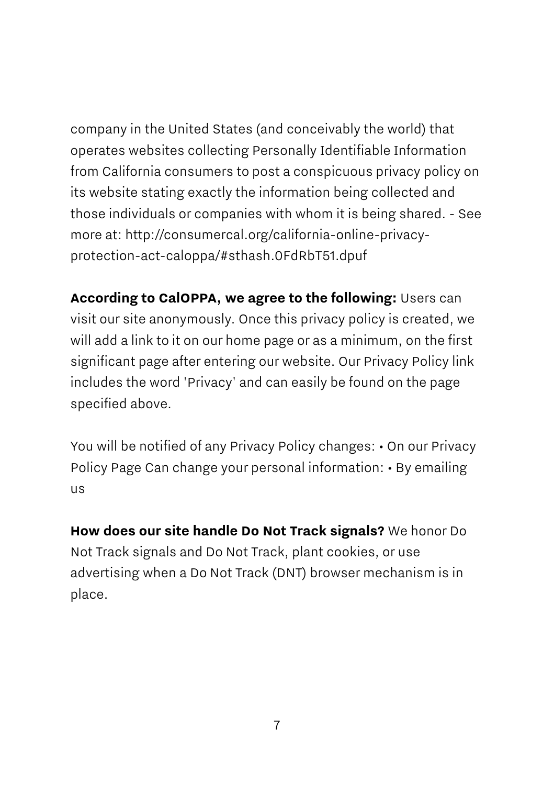company in the United States (and conceivably the world) that operates websites collecting Personally Identifiable Information from California consumers to post a conspicuous privacy policy on its website stating exactly the information being collected and those individuals or companies with whom it is being shared. - See more at: http://consumercal.org/california-online-privacyprotection-act-caloppa/#sthash.0FdRbT51.dpuf

**According to CalOPPA, we agree to the following:** Users can visit our site anonymously. Once this privacy policy is created, we will add a link to it on our home page or as a minimum, on the first significant page after entering our website. Our Privacy Policy link includes the word 'Privacy' and can easily be found on the page specified above.

You will be notified of any Privacy Policy changes: • On our Privacy Policy Page Can change your personal information: • By emailing us

**How does our site handle Do Not Track signals?** We honor Do Not Track signals and Do Not Track, plant cookies, or use advertising when a Do Not Track (DNT) browser mechanism is in place.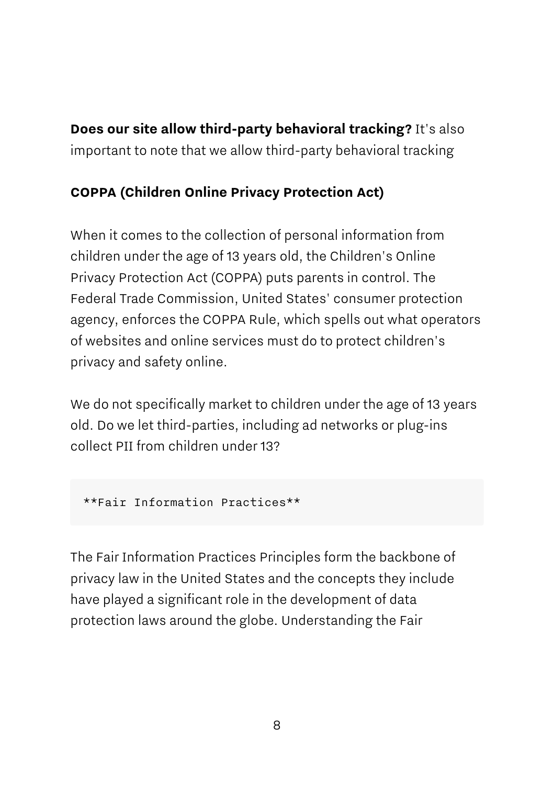**Does our site allow third-party behavioral tracking?** It's also important to note that we allow third-party behavioral tracking

## **COPPA (Children Online Privacy Protection Act)**

When it comes to the collection of personal information from children under the age of 13 years old, the Children's Online Privacy Protection Act (COPPA) puts parents in control. The Federal Trade Commission, United States' consumer protection agency, enforces the COPPA Rule, which spells out what operators of websites and online services must do to protect children's privacy and safety online.

We do not specifically market to children under the age of 13 years old. Do we let third-parties, including ad networks or plug-ins collect PII from children under 13?

```
**Fair Information Practices**
```
The Fair Information Practices Principles form the backbone of privacy law in the United States and the concepts they include have played a significant role in the development of data protection laws around the globe. Understanding the Fair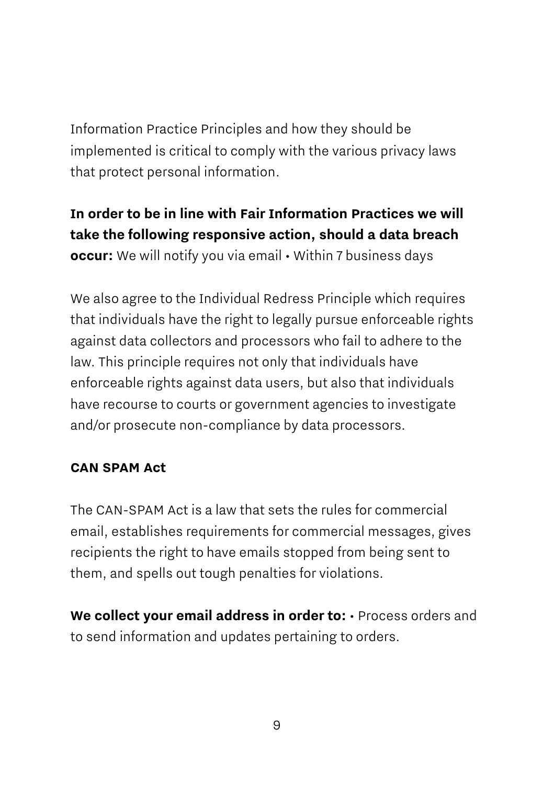Information Practice Principles and how they should be implemented is critical to comply with the various privacy laws that protect personal information.

## **In order to be in line with Fair Information Practices we will take the following responsive action, should a data breach occur:** We will notify you via email • Within 7 business days

We also agree to the Individual Redress Principle which requires that individuals have the right to legally pursue enforceable rights against data collectors and processors who fail to adhere to the law. This principle requires not only that individuals have enforceable rights against data users, but also that individuals have recourse to courts or government agencies to investigate and/or prosecute non-compliance by data processors.

#### **CAN SPAM Act**

The CAN-SPAM Act is a law that sets the rules for commercial email, establishes requirements for commercial messages, gives recipients the right to have emails stopped from being sent to them, and spells out tough penalties for violations.

**We collect your email address in order to:** • Process orders and to send information and updates pertaining to orders.